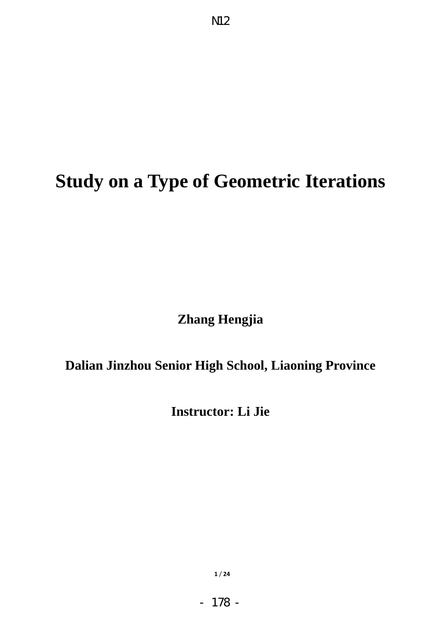# **Study on a Type of Geometric Iterations**

N12

**Zhang Hengjia** 

## **Dalian Jinzhou Senior High School, Liaoning Province**

**Instructor: Li Jie** 

**1** / **24**

- 178 -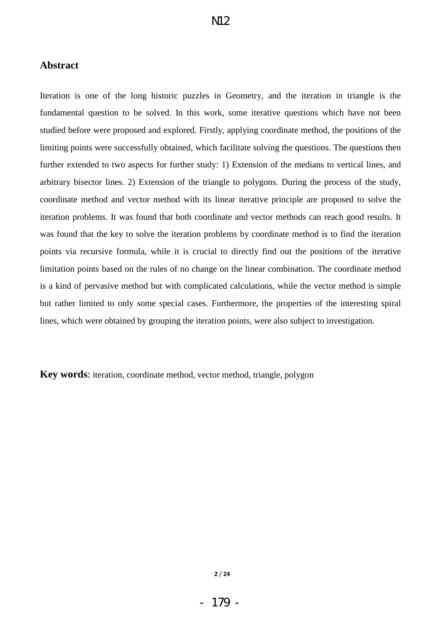## **Abstract**

Iteration is one of the long historic puzzles in Geometry, and the iteration in triangle is the fundamental question to be solved. In this work, some iterative questions which have not been studied before were proposed and explored. Firstly, applying coordinate method, the positions of the limiting points were successfully obtained, which facilitate solving the questions. The questions then further extended to two aspects for further study: 1) Extension of the medians to vertical lines, and arbitrary bisector lines. 2) Extension of the triangle to polygons. During the process of the study, coordinate method and vector method with its linear iterative principle are proposed to solve the iteration problems. It was found that both coordinate and vector methods can reach good results. It was found that the key to solve the iteration problems by coordinate method is to find the iteration points via recursive formula, while it is crucial to directly find out the positions of the iterative limitation points based on the rules of no change on the linear combination. The coordinate method is a kind of pervasive method but with complicated calculations, while the vector method is simple but rather limited to only some special cases. Furthermore, the properties of the interesting spiral lines, which were obtained by grouping the iteration points, were also subject to investigation.

**Key words:** iteration, coordinate method, vector method, triangle, polygon

**2** / **24**

- 179 -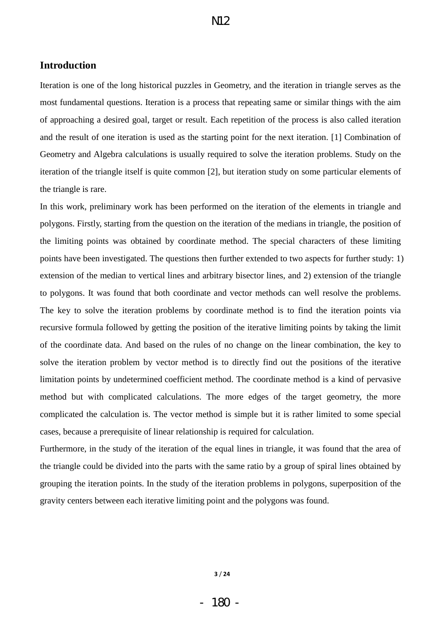## **Introduction**

Iteration is one of the long historical puzzles in Geometry, and the iteration in triangle serves as the most fundamental questions. Iteration is a process that repeating same or similar things with the aim of approaching a desired goal, target or result. Each repetition of the process is also called iteration and the result of one iteration is used as the starting point for the next iteration. [1] Combination of Geometry and Algebra calculations is usually required to solve the iteration problems. Study on the iteration of the triangle itself is quite common [2], but iteration study on some particular elements of the triangle is rare.

In this work, preliminary work has been performed on the iteration of the elements in triangle and polygons. Firstly, starting from the question on the iteration of the medians in triangle, the position of the limiting points was obtained by coordinate method. The special characters of these limiting points have been investigated. The questions then further extended to two aspects for further study: 1) extension of the median to vertical lines and arbitrary bisector lines, and 2) extension of the triangle to polygons. It was found that both coordinate and vector methods can well resolve the problems. The key to solve the iteration problems by coordinate method is to find the iteration points via recursive formula followed by getting the position of the iterative limiting points by taking the limit of the coordinate data. And based on the rules of no change on the linear combination, the key to solve the iteration problem by vector method is to directly find out the positions of the iterative limitation points by undetermined coefficient method. The coordinate method is a kind of pervasive method but with complicated calculations. The more edges of the target geometry, the more complicated the calculation is. The vector method is simple but it is rather limited to some special cases, because a prerequisite of linear relationship is required for calculation.

Furthermore, in the study of the iteration of the equal lines in triangle, it was found that the area of the triangle could be divided into the parts with the same ratio by a group of spiral lines obtained by grouping the iteration points. In the study of the iteration problems in polygons, superposition of the gravity centers between each iterative limiting point and the polygons was found.

**3** / **24**

- 180 -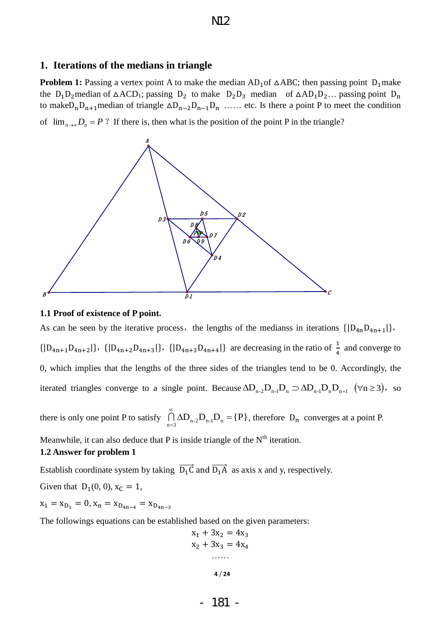## **1. Iterations of the medians in triangle**

**Problem 1:** Passing a vertex point A to make the median  $AD_1$  of  $\triangle ABC$ ; then passing point  $D_1$  make the  $D_1D_2$  median of  $\triangle ACD_1$ ; passing  $D_2$  to make  $D_2D_3$  median of  $\triangle AD_1D_2...$  passing point  $D_n$ to make  $D_n D_{n+1}$  median of triangle  $\Delta D_{n-2} D_{n-1} D_n$  ...... etc. Is there a point P to meet the condition

of  $\lim_{n\to\infty}D_n = P$ ? If there is, then what is the position of the point P in the triangle?



#### **1.1 Proof of existence of P point.**

As can be seen by the iterative process, the lengths of the medianss in iterations  $\{ |D_{4n}D_{4n+1}|\}$ ,  $\{|D_{4n+1}D_{4n+2}|\}$ ,  $\{|D_{4n+2}D_{4n+3}|\}$ ,  $\{|D_{4n+3}D_{4n+4}|\}$  are decreasing in the ratio of  $\frac{1}{4}$  and converge to 0, which implies that the lengths of the three sides of the triangles tend to be 0. Accordingly, the iterated triangles converge to a single point. Because  $\Delta D_{n-2}D_{n-1}D_n \supset \Delta D_{n-1}D_nD_{n+1}$  ( $\forall n \ge 3$ ), so

there is only one point P to satisfy  $\bigcap_{n=3}$   $\Delta D_{n-2}D_{n-1}D_n = \{P\}$  $\bigcap_{n=2}^{\infty}$   $\Delta$ D<sub>n-2</sub> $\mathrm{D}_{n-1}$ D<sub>n</sub> =  $\bigcap_{n=3} \Delta D_{n-2} D_{n-1} D_n = \{P\}$ , therefore  $D_n$  converges at a point P.

Meanwhile, it can also deduce that P is inside triangle of the  $N<sup>th</sup>$  iteration.

## **1.2 Answer for problem 1**

Establish coordinate system by taking  $\overrightarrow{D_1C}$  and  $\overrightarrow{D_1A}$  as axis x and y, respectively.

Given that  $D_1(0, 0)$ ,  $x_c = 1$ ,

 $x_1 = x_{D_1} = 0, x_n = x_{D_{4n-4}} = x_{D_{4n-3}}$ 

The followings equations can be established based on the given parameters:

$$
x1 + 3x2 = 4x3
$$
  

$$
x2 + 3x3 = 4x4
$$
  
........  

$$
4/24
$$

- 181 -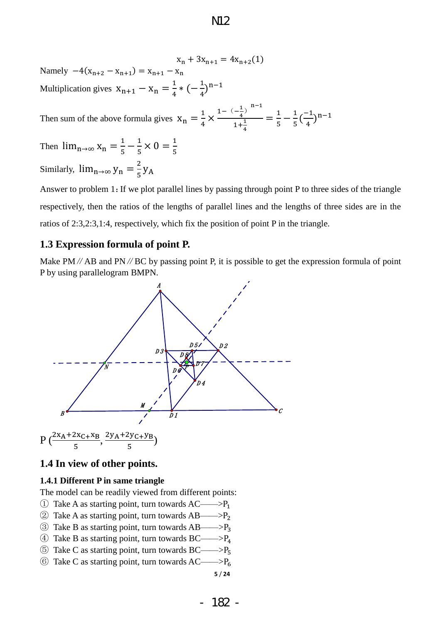$x_n + 3x_{n+1} = 4x_{n+2}(1)$ Namely  $-4(x_{n+2} - x_{n+1}) = x_{n+1} - x_n$ Multiplication gives  $x_{n+1} - x_n = \frac{1}{4}$  $\frac{1}{4} * (-\frac{1}{4})^n$ 

Then sum of the above formula gives  $X_n = \frac{1}{4}$  $\frac{1}{4}$   $\times \frac{1 - (-\frac{1}{4})}{1 + (-\frac{1}{4})}$  $\frac{1}{4}$ ) n  $1+\frac{1}{4}$ 4  $=\frac{1}{z}$  $\frac{1}{5} - \frac{1}{5}$  $\frac{1}{5}(\frac{1}{4})$  $\frac{-1}{4})^n$ 

Then  $\lim_{n\to\infty} x_n = \frac{1}{n}$  $\frac{1}{5} - \frac{1}{5}$  $\frac{1}{5} \times 0 = \frac{1}{5}$ Similarly,  $\lim_{n\to\infty} y_n = \frac{2}{\pi}$  $\frac{2}{5}y$ 

Answer to problem 1:If we plot parallel lines by passing through point P to three sides of the triangle respectively, then the ratios of the lengths of parallel lines and the lengths of three sides are in the ratios of 2:3,2:3,1:4, respectively, which fix the position of point P in the triangle.

## **1.3 Expression formula of point P.**

Make PM  $//$  AB and PN  $//$  BC by passing point P, it is possible to get the expression formula of point P by using parallelogram BMPN.



## **1.4 In view of other points.**

#### **1.4.1 Different P in same triangle**

The model can be readily viewed from different points:

- $\Phi$  Take A as starting point, turn towards AC——>P<sub>1</sub>
- $\textcircled{2}$  Take A as starting point, turn towards AB——>P<sub>2</sub>
- $\textcircled{3}$  Take B as starting point, turn towards AB——> $P_3$
- $\Phi$  Take B as starting point, turn towards BC——> $P_4$
- $\circledS$  Take C as starting point, turn towards BC——> $P_5$
- **5** / **24**  $\circled{6}$  Take C as starting point, turn towards AC——>P<sub>6</sub>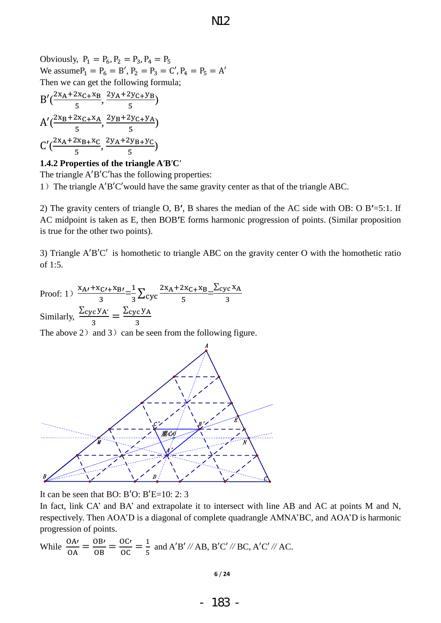Obviously,  $P_1 = P_6$ ,  $P_2 = P_3$ ,  $P_4 = P_5$ We assume  $P_1 = P_6 = B'$ ,  $P_2 = P_3 = C'$ ,  $P_4 = P_5 = A'$ Then we can get the following formula;

$$
B'(\frac{2x_A + 2x_C + x_B}{5}, \frac{2y_A + 2y_C + y_B}{5})
$$
  
\n
$$
A'(\frac{2x_B + 2x_C + x_A}{5}, \frac{2y_B + 2y_C + y_A}{5})
$$
  
\n
$$
C'(\frac{2x_A + 2x_B + x_C}{5}, \frac{2y_A + 2y_B + y_C}{5})
$$

#### **1.4.2 Properties of the triangle A B C**

The triangle  $A'B'C'$  has the following properties:

1) The triangle  $A'B'C'$  would have the same gravity center as that of the triangle ABC.

2) The gravity centers of triangle O, B', B shares the median of the AC side with OB: O B'=5:1. If AC midpoint is taken as E, then BOB'E forms harmonic progression of points. (Similar proposition is true for the other two points).

3) Triangle  $A'B'C'$  is homothetic to triangle ABC on the gravity center O with the homothetic ratio of 1:5.

Proof: 1)  $\frac{x}{x}$  $\frac{x_{C'}+x_{B'}}{3}=\frac{1}{3}$  $\frac{1}{3}\sum_{\text{cyc}}^2$  $\frac{2x_A + 2x_{C+}x_B}{5} = \frac{\sum_{i=1}^{n} x_i}{2}$ 3 Similarly, Σ  $\frac{{}^{\circ}C\,Y_{A'}}{3} = \frac{\Sigma}{2}$ 3

The above 2) and 3) can be seen from the following figure.



It can be seen that BO: B'O: B'E=10: 2: 3

In fact, link CA' and BA' and extrapolate it to intersect with line AB and AC at points M and N, respectively. Then AOA'D is a diagonal of complete quadrangle AMNA'BC, and AOA'D is harmonic progression of points.

While 
$$
\frac{OA'}{OA} = \frac{OB'}{OB} = \frac{OC'}{OC} = \frac{1}{5}
$$
 and A'B'/AB, B'C'/BC, A'C'/AC.

$$
6/24
$$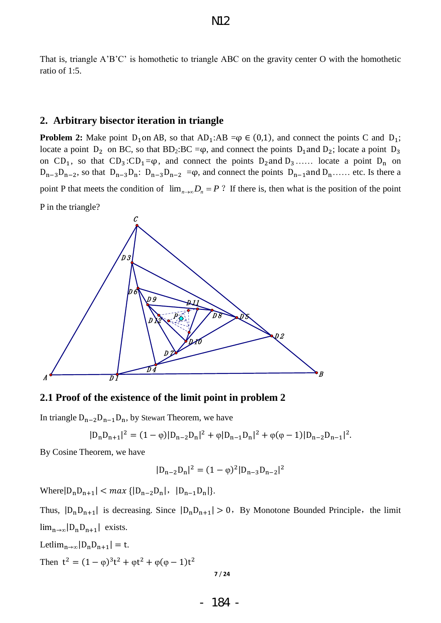That is, triangle A'B'C' is homothetic to triangle ABC on the gravity center O with the homothetic ratio of 1:5.

#### **2. Arbitrary bisector iteration in triangle**

**Problem 2:** Make point  $D_1$  on AB, so that  $AD_1$ :AB = $\varphi \in (0,1)$ , and connect the points C and  $D_1$ ; locate a point  $D_2$  on BC, so that BD<sub>2</sub>:BC = $\varphi$ , and connect the points  $D_1$  and  $D_2$ ; locate a point  $D_3$ on  $CD_1$ , so that  $CD_3:CD_1 = \varphi$ , and connect the points  $D_2$  and  $D_3$ ..... locate a point  $D_n$  on  $D_{n-3}D_{n-2}$ , so that  $D_{n-3}D_{n}$ :  $D_{n-3}D_{n-2} = \varphi$ , and connect the points  $D_{n-1}$  and  $D_{n}$ ..... etc. Is there a point P that meets the condition of  $\lim_{n\to\infty} D_n = P$ ? If there is, then what is the position of the point P in the triangle?



**2.1 Proof of the existence of the limit point in problem 2** 

In triangle  $D_{n-2}D_{n-1}D_n$ , by Stewart Theorem, we have

$$
|D_nD_{n+1}|^2 = (1 - \varphi)|D_{n-2}D_n|^2 + \varphi|D_{n-1}D_n|^2 + \varphi(\varphi - 1)|D_{n-2}D_{n-1}|^2.
$$

By Cosine Theorem, we have

$$
|D_{n-2}D_n|^2 = (1 - \varphi)^2 |D_{n-3}D_{n-2}|^2
$$

Where  $|D_n D_{n+1}| < max \{|D_{n-2} D_n|, |D_{n-1} D_n|\}.$ 

Thus,  $|D_n D_{n+1}|$  is decreasing. Since  $|D_n D_{n+1}| > 0$ , By Monotone Bounded Principle, the limit  $\lim_{n\to\infty}$   $|D_nD_{n+1}|$  exists.

Let  $\lim_{n\to\infty}$   $|D_nD_{n+1}| = t$ . Then  $t^2 = (1 - \varphi)^3 t^2 + \varphi t^2 + \varphi(\varphi - 1)t^2$ 

$$
7/24
$$

- 184 -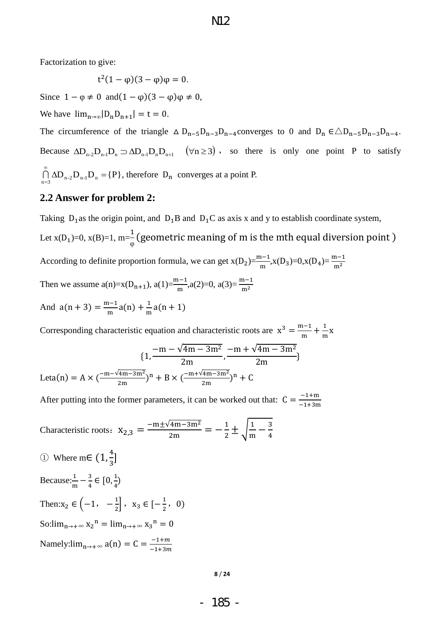Factorization to give:

$$
t^2(1-\varphi)(3-\varphi)\varphi = 0.
$$

Since  $1 - \varphi \neq 0$  and  $(1 - \varphi)(3 - \varphi)\varphi \neq 0$ ,

We have  $\lim_{n\to\infty} |D_n D_{n+1}| = t = 0$ .

The circumference of the triangle  $\Delta D_{n-5}D_{n-3}D_{n-4}$  converges to 0 and  $D_n \in \Delta D_{n-5}D_{n-3}D_{n-4}$ . Because  $\Delta D_{n-2}D_{n-1}D_n \supset \Delta D_{n-1}D_nD_{n+1}$   $(\forall n \ge 3)$ , so there is only one point P to satisfy  $\bigcap_{n=3}^{\infty} \Delta D_{n-2} D_{n-1} D_n = \{P\}$  $\bigcap_{n=3}$   $\Delta D_{n-2}$   $D_{n-1}$   $D_n$  = {P}, therefore  $D_n$  converges at a point P.

## **2.2 Answer for problem 2:**

Taking  $D_1$  as the origin point, and  $D_1B$  and  $D_1C$  as axis x and y to establish coordinate system, Let  $x(D_1)=0$ ,  $x(B)=1$ ,  $m=\frac{1}{2}$  $\frac{1}{\varphi}$  ( According to definite proportion formula, we can get  $x(D_2) = \frac{m-1}{m}$ ,  $x(D_3) = 0$ ,  $x(D_4) = \frac{m-1}{m}$ Then we assume  $a(n)=x(D_{n+1}), a(1)=\frac{m-1}{m}, a(2)=0, a(3)=\frac{m-1}{m}$ And  $a(n + 3) = \frac{m}{4}$  $\frac{n-1}{m}a(n) + \frac{1}{m}$  $\frac{1}{m}a$ 

Corresponding characteristic equation and characteristic roots are  $x^3 = \frac{m}{2}$  $\frac{n-1}{m} + \frac{1}{n}$  $\frac{1}{m}x$  $\{$  $\overline{\phantom{0}}$  $\overline{\mathbf{c}}$  $\overline{\phantom{0}}$  $\overline{\mathbf{c}}$ Leta(n) = A  $\times (\frac{-m-v4m-3m^2}{2m})^n$  $\frac{(4m-3m^2)}{2m}$ )<sup>n</sup>

After putting into the former parameters, it can be worked out that:  $C = \frac{1}{x}$ 

Characteristic roots: 
$$
X_{2,3} = \frac{-m \pm \sqrt{4m - 3m^2}}{2m} = -\frac{1}{2} \pm \sqrt{\frac{1}{m} - \frac{3}{4}}
$$
  
\n① Where  $m \in (1, \frac{4}{3}]$   
\nBecause:  $\frac{1}{m} - \frac{3}{4} \in [0, \frac{1}{4})$   
\nThen:  $x_2 \in \left(-1, -\frac{1}{2}\right], x_3 \in \left[-\frac{1}{2}, 0\right)$   
\nSo:  $\lim_{n \to +\infty} x_2^n = \lim_{n \to +\infty} x_3^n = 0$   
\nNamely:  $\lim_{n \to +\infty} a(n) = C = \frac{-1 + m}{-1 + 3m}$ 

**8** / **24**

4

- 185 -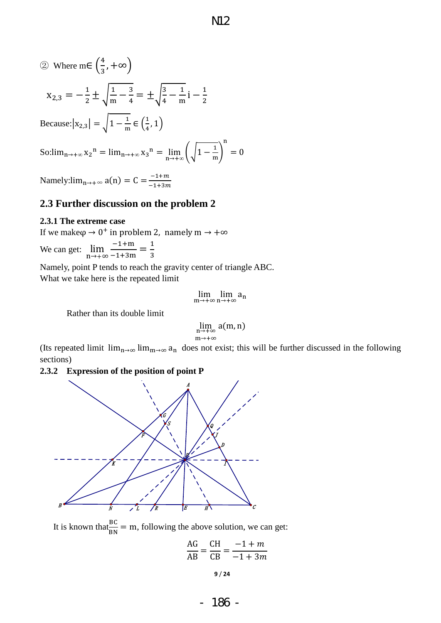$\boldsymbol{0}$ 

(2) Where m∈ 
$$
\left(\frac{4}{3}, +\infty\right)
$$
  
\n
$$
x_{2,3} = -\frac{1}{2} \pm \sqrt{\frac{1}{m} - \frac{3}{4}} = \pm \sqrt{\frac{3}{4} - \frac{1}{m}} i - \frac{1}{2}
$$
\nBecause:  $|x_{2,3}| = \sqrt{1 - \frac{1}{m}} \in \left(\frac{1}{4}, 1\right)$   
\nSo:  $\lim_{n \to +\infty} x_2^n = \lim_{n \to +\infty} x_3^n = \lim_{n \to +\infty} \left(\sqrt{1 - \frac{1}{m}}\right)^n =$ 

Namely: $\lim_{n\to+\infty} a(n) = C = \frac{1}{n}$ 

## **2.3 Further discussion on the problem 2**

## **2.3.1 The extreme case**

If we make  $\varphi \to 0^+$  in problem 2, namely m  $\to +\infty$ 

We can get: n  $\overline{\phantom{0}}$  $\frac{-1+m}{-1+3m} = \frac{1}{3}$ 3

Namely, point P tends to reach the gravity center of triangle ABC. What we take here is the repeated limit

$$
\lim_{m\to+\infty}\lim_{n\to+\infty}a_n
$$

Rather than its double limit

$$
\lim_{\substack{n \to +\infty \\ m \to +\infty}} a(m, n)
$$

(Its repeated limit  $\lim_{n\to\infty} \lim_{m\to\infty} a_n$  does not exist; this will be further discussed in the following sections)

#### **2.3.2 Expression of the position of point P**



It is known that  $\frac{BC}{BN}$  = m, following the above solution, we can get:

$$
\frac{\text{AG}}{\text{AB}} = \frac{\text{CH}}{\text{CB}} = \frac{-1 + m}{-1 + 3m}
$$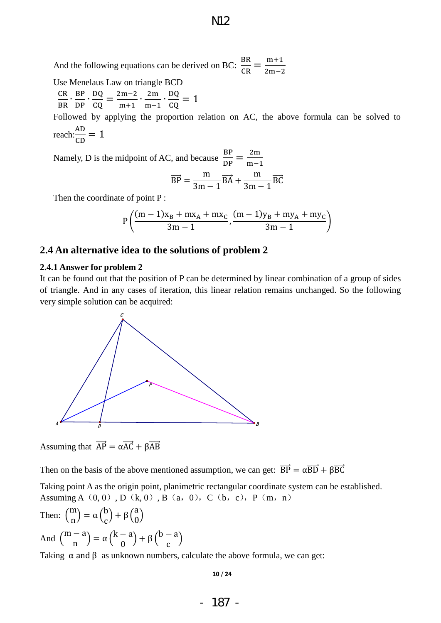And the following equations can be derived on BC:  $\frac{B}{C}$  $\frac{\text{BR}}{\text{CR}} = \frac{\text{m}}{\text{2m}}$  $\overline{\mathbf{c}}$ 

Use Menelaus Law on triangle BCD

C  $\frac{CR}{BR} \cdot \frac{B}{D}$  $\frac{BP}{DP} \cdot \frac{D}{C}$  $\frac{DQ}{CQ} = \frac{2}{1}$  $\frac{2m-2}{m+1} \cdot \frac{2}{m}$  $\frac{2m}{m-1} \cdot \frac{D}{C}$  $\frac{DQ}{CQ} =$ 

Followed by applying the proportion relation on AC, the above formula can be solved to reach: $\frac{A}{c}$  $\frac{AD}{CD} =$ 

Namely, D is the midpoint of AC, and because  $\frac{B}{D}$  $\frac{\text{BP}}{\text{DP}} = \frac{2}{m}$ m

$$
\overrightarrow{BP} = \frac{m}{3m-1}\overrightarrow{BA} + \frac{m}{3m-1}\overrightarrow{BC}
$$

Then the coordinate of point P :

$$
P\left(\frac{(m-1)x_B + mx_A + mx_C}{3m-1}, \frac{(m-1)y_B + my_A + my_C}{3m-1}\right)
$$

## **2.4 An alternative idea to the solutions of problem 2**

#### **2.4.1 Answer for problem 2**

It can be found out that the position of P can be determined by linear combination of a group of sides of triangle. And in any cases of iteration, this linear relation remains unchanged. So the following very simple solution can be acquired:



Assuming that  $\overrightarrow{AP} = \alpha \overrightarrow{AC} + \beta \overrightarrow{AB}$ 

Then on the basis of the above mentioned assumption, we can get:  $\overrightarrow{BP} = \alpha \overrightarrow{BD} + \beta \overrightarrow{BC}$ 

Taking point A as the origin point, planimetric rectangular coordinate system can be established. Assuming A $(0, 0)$ , D $(k, 0)$ , B $(a, 0)$ , C $(b, c)$ , P $(m, n)$ 

Then:  $\binom{m}{n}$  $\binom{m}{n}$  =  $\alpha \binom{0}{c}$  +  $\beta \binom{0}{0}$ And  $\binom{m}{m}$  $\binom{a}{n} = \alpha \binom{n-a}{0} + \beta \binom{n-a}{0}$ 

Taking  $\alpha$  and  $\beta$  as unknown numbers, calculate the above formula, we can get: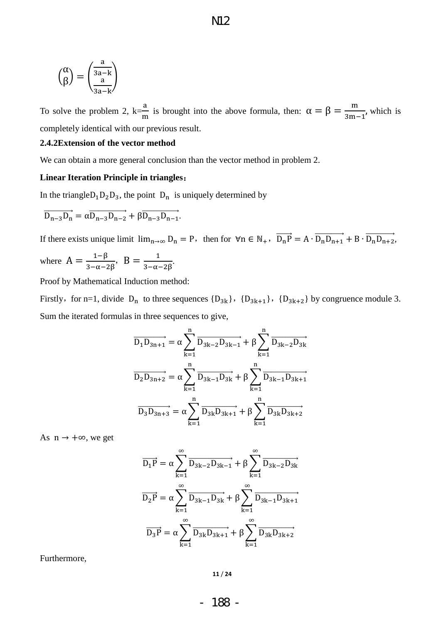$$
\mathbf{M}2
$$

$$
\binom{\alpha}{\beta} = \binom{\frac{a}{3a-k}}{\frac{a}{3a-k}}
$$

To solve the problem 2,  $k=\frac{a}{x}$  $\frac{\alpha}{m}$  is brought into the above formula, then:  $\alpha = \beta = \frac{m}{3m-1}$ , which is completely identical with our previous result.

#### **2.4.2Extension of the vector method**

We can obtain a more general conclusion than the vector method in problem 2.

#### **Linear Iteration Principle in triangles**:

In the triangle  $D_1 D_2 D_3$ , the point  $D_n$  is uniquely determined by

$$
\overrightarrow{D_{n-3}D_n} = \alpha \overrightarrow{D_{n-3}D_{n-2}} + \beta \overrightarrow{D_{n-3}D_{n-1}}.
$$

If there exists unique limit  $\lim_{n\to\infty} D_n = P$ , then for  $\forall n \in \mathbb{N}_+$ ,  $\overrightarrow{D_n P} = A \cdot \overrightarrow{D_n D_{n+1}} + B \cdot \overrightarrow{D_n D_{n+2}}$ .

where  $A = \frac{1-\beta}{3-\alpha-2\beta}$ ,  $B = \frac{1}{3-\alpha}$ .  $\frac{1}{3-\alpha-2\beta}$ 

Proof by Mathematical Induction method:

Firstly, for n=1, divide  $D_n$  to three sequences  ${D_{3k}}$ ,  ${D_{3k+1}}$ ,  ${D_{3k+2}}$  by congruence module 3. Sum the iterated formulas in three sequences to give,

$$
\overrightarrow{D_1D_{3n+1}} = \alpha \sum_{k=1}^{n} \overrightarrow{D_{3k-2}D_{3k-1}} + \beta \sum_{k=1}^{n} \overrightarrow{D_{3k-2}D_{3k}}
$$

$$
\overrightarrow{D_2D_{3n+2}} = \alpha \sum_{k=1}^{n} \overrightarrow{D_{3k-1}D_{3k}} + \beta \sum_{k=1}^{n} \overrightarrow{D_{3k-1}D_{3k+1}}
$$

$$
\overrightarrow{D_3D_{3n+3}} = \alpha \sum_{k=1}^{n} \overrightarrow{D_{3k}D_{3k+1}} + \beta \sum_{k=1}^{n} \overrightarrow{D_{3k}D_{3k+2}}
$$

As  $n \rightarrow +\infty$ , we get

$$
\overrightarrow{D_1P} = \alpha \sum_{k=1}^{\infty} \overrightarrow{D_{3k-2}D_{3k-1}} + \beta \sum_{k=1}^{\infty} \overrightarrow{D_{3k-2}D_{3k}}
$$
\n
$$
\overrightarrow{D_2P} = \alpha \sum_{k=1}^{\infty} \overrightarrow{D_{3k-1}D_{3k}} + \beta \sum_{k=1}^{\infty} \overrightarrow{D_{3k-1}D_{3k+1}}
$$
\n
$$
\overrightarrow{D_3P} = \alpha \sum_{k=1}^{\infty} \overrightarrow{D_{3k}D_{3k+1}} + \beta \sum_{k=1}^{\infty} \overrightarrow{D_{3k}D_{3k+2}}
$$

Furthermore,

**11** / **24**

- 188 -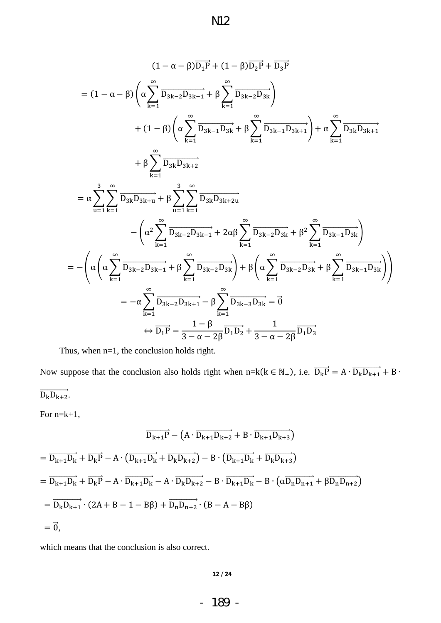$$
(1 - \alpha - \beta)\overline{D_{1}P} + (1 - \beta)\overline{D_{2}P} + \overline{D_{3}P}
$$
\n
$$
= (1 - \alpha - \beta)\left(\alpha\sum_{k=1}^{\infty}\overline{D_{3k-2}D_{3k-1}} + \beta\sum_{k=1}^{\infty}\overline{D_{3k-2}D_{3k}}\right)
$$
\n
$$
+ (1 - \beta)\left(\alpha\sum_{k=1}^{\infty}\overline{D_{3k-1}D_{3k}} + \beta\sum_{k=1}^{\infty}\overline{D_{3k-1}D_{3k+1}}\right) + \alpha\sum_{k=1}^{\infty}\overline{D_{3k}D_{3k+1}}
$$
\n
$$
+ \beta\sum_{k=1}^{\infty}\overline{D_{3k}D_{3k+2}}
$$
\n
$$
= \alpha\sum_{u=1}^{3}\sum_{k=1}^{\infty}\overline{D_{3k}D_{3k+u}} + \beta\sum_{u=1}^{3}\sum_{k=1}^{\infty}\overline{D_{3k}D_{3k+2u}}
$$
\n
$$
- \left(\alpha^{2}\sum_{k=1}^{\infty}\overline{D_{3k-2}D_{3k-1}} + 2\alpha\beta\sum_{k=1}^{\infty}\overline{D_{3k-2}D_{3k}} + \beta^{2}\sum_{k=1}^{\infty}\overline{D_{3k-1}D_{3k}}\right)
$$
\n
$$
= -\left(\alpha\left(\alpha\sum_{k=1}^{\infty}\overline{D_{3k-2}D_{3k-1}} + \beta\sum_{k=1}^{\infty}\overline{D_{3k-2}D_{3k}}\right) + \beta\left(\alpha\sum_{k=1}^{\infty}\overline{D_{3k-2}D_{3k}} + \beta\sum_{k=1}^{\infty}\overline{D_{3k-1}D_{3k}}\right)
$$
\n
$$
= -\alpha\sum_{k=1}^{\infty}\overline{D_{3k-2}D_{3k+1}} - \beta\sum_{k=1}^{\infty}\overline{D_{3k-3}D_{3k}} = \overline{0}
$$
\n
$$
\Leftrightarrow \overline{D_{1}P} = \frac{1 - \beta}{3 - \alpha - 2\beta}\overline{D_{1}D_{2
$$

Thus, when n=1, the conclusion holds right.

Now suppose that the conclusion also holds right when  $n=k(k \in N_+)$ , i.e.  $\overline{D_k}$  $\overrightarrow{\mathrm{D_{k}D_{k+2}}}.$ 

For n=k+1,

$$
\overrightarrow{D_{k+1}P} - (A \cdot \overrightarrow{D_{k+1}D_{k+2}} + B \cdot \overrightarrow{D_{k+1}D_{k+3}})
$$
\n
$$
= \overrightarrow{D_{k+1}D_k} + \overrightarrow{D_kP} - A \cdot (\overrightarrow{D_{k+1}D_k} + \overrightarrow{D_kD_{k+2}}) - B \cdot (\overrightarrow{D_{k+1}D_k} + \overrightarrow{D_kD_{k+3}})
$$
\n
$$
= \overrightarrow{D_{k+1}D_k} + \overrightarrow{D_kP} - A \cdot \overrightarrow{D_{k+1}D_k} - A \cdot \overrightarrow{D_kD_{k+2}} - B \cdot \overrightarrow{D_{k+1}D_k} - B \cdot (\alpha \overrightarrow{D_nD_{n+1}} + \beta \overrightarrow{D_nD_{n+2}})
$$
\n
$$
= \overrightarrow{D_kD_{k+1}} \cdot (2A + B - 1 - B\beta) + \overrightarrow{D_nD_{n+2}} \cdot (B - A - B\beta)
$$
\n
$$
= \overrightarrow{0},
$$

which means that the conclusion is also correct.

**12** / **24**

- 189 -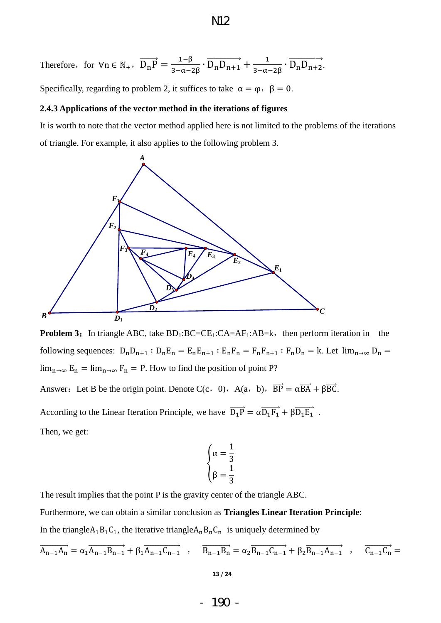Therefore, for 
$$
\forall n \in \mathbb{N}_+
$$
,  $\overrightarrow{D_nP} = \frac{1-\beta}{3-\alpha-2\beta} \cdot \overrightarrow{D_nD_{n+1}} + \frac{1}{3-\alpha-2\beta} \cdot \overrightarrow{D_nD_{n+2}}$ .

Specifically, regarding to problem 2, it suffices to take  $\alpha = \varphi$ ,  $\beta = 0$ .

#### **2.4.3 Applications of the vector method in the iterations of figures**

It is worth to note that the vector method applied here is not limited to the problems of the iterations of triangle. For example, it also applies to the following problem 3.



**Problem 3:** In triangle ABC, take  $BD_1:BC=CE_1:CA=AF_1:AB=k$ , then perform iteration in the following sequences:  $D_n D_{n+1}$ :  $D_n E_n = E_n E_{n+1}$ :  $E_n F_n = F_n F_{n+1}$ :  $F_n D_n = k$ . Let  $\lim_{n\to\infty} D_n =$  $\lim_{n\to\infty} E_n = \lim_{n\to\infty} F_n = P$ . How to find the position of point P?

Answer: Let B be the origin point. Denote C(c, 0), A(a, b),  $\overrightarrow{BP} = \alpha \overrightarrow{BA} + \beta \overrightarrow{BC}$ .

According to the Linear Iteration Principle, we have  $\overrightarrow{D_1P} = \alpha \overrightarrow{D_1F_1} + \beta \overrightarrow{D_1E_1}$ . Then, we get:

$$
\begin{cases} \alpha = \frac{1}{3} \\ \beta = \frac{1}{3} \end{cases}
$$

The result implies that the point P is the gravity center of the triangle ABC. Furthermore, we can obtain a similar conclusion as **Triangles Linear Iteration Principle**: In the triangle  $A_1B_1C_1$ , the iterative triangle  $A_nB_nC_n$  is uniquely determined by

$$
\overrightarrow{A_{n-1}A_n} = \alpha_1 \overrightarrow{A_{n-1}B_{n-1}} + \beta_1 \overrightarrow{A_{n-1}C_{n-1}} \quad , \qquad \overrightarrow{B_{n-1}B_n} = \alpha_2 \overrightarrow{B_{n-1}C_{n-1}} + \beta_2 \overrightarrow{B_{n-1}A_{n-1}} \quad , \qquad \overrightarrow{C_{n-1}C_n} = \alpha_1 \overrightarrow{A_{n-1}B_{n-1}} + \beta_2 \overrightarrow{B_{n-1}B_{n-1}} \quad , \qquad \overrightarrow{C_{n-1}C_n} = \alpha_1 \overrightarrow{B_{n-1}B_{n-1}} + \beta_2 \overrightarrow{B_{n-1}B_{n-1}} \quad , \qquad \overrightarrow{C_{n-1}C_n} = \alpha_1 \overrightarrow{B_{n-1}B_{n-1}} + \beta_2 \overrightarrow{B_{n-1}B_{n-1}} \quad , \qquad \overrightarrow{C_{n-1}C_n} = \alpha_1 \overrightarrow{B_{n-1}B_{n-1}} + \beta_2 \overrightarrow{B_{n-1}B_{n-1}} \quad , \qquad \overrightarrow{C_{n-1}C_n} = \alpha_1 \overrightarrow{B_{n-1}B_{n-1}} + \beta_2 \overrightarrow{B_{n-1}B_{n-1}} \quad , \qquad \overrightarrow{C_{n-1}C_n} = \alpha_1 \overrightarrow{B_{n-1}B_{n-1}} + \beta_2 \overrightarrow{B_{n-1}B_{n-1}} \quad , \qquad \overrightarrow{C_{n-1}C_n} = \alpha_1 \overrightarrow{B_{n-1}B_{n-1}} + \beta_2 \overrightarrow{B_{n-1}B_{n-1}} \quad , \qquad \overrightarrow{C_{n-1}C_n} = \alpha_1 \overrightarrow{B_{n-1}B_{n-1}} + \beta_2 \overrightarrow{B_{n-1}B_{n-1}} \quad , \qquad \overrightarrow{C_{n-1}C_n} = \alpha_1 \overrightarrow{B_{n-1}B_{n-1}} + \beta_2 \overrightarrow{B_{n-1}B_{n-1}} \quad , \qquad \overrightarrow{C_{n-1}C_n} = \alpha_1 \overrightarrow{B_{n-1}B_{n-1}} + \beta_2 \overrightarrow{B_{n-1}B_{n-1}} \quad , \qquad \overrightarrow{C_{n-1}C_n} = \alpha_1 \overrightarrow{B_{n-1}
$$

- 190 -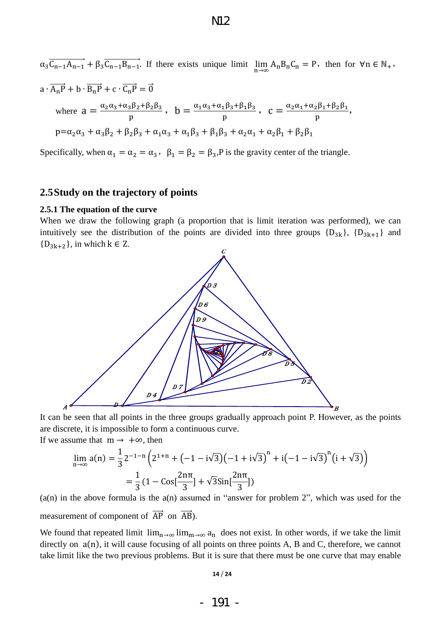$\alpha_3 \overline{C_{n-1}A_{n-1}} + \beta_3 \overline{C_{n-1}B_{n-1}}$ . If there exists unique limit  $\lim A_n B_n C_n = P$ , then for  $\forall n \in \mathbb{N}_+$ ,  $a \cdot \overrightarrow{A_nP} + b \cdot \overrightarrow{B_nP} + c \cdot \overrightarrow{C_n}$ where  $a = \frac{\alpha}{\alpha}$  $\frac{1}{p}$   $b = \frac{\alpha}{p}$  $\frac{1\beta_3+\beta_1\beta_3}{p}$ ,  $c=\frac{\alpha}{2}$ 2P1+P2P1,<br>p  $p = \alpha_2 \alpha_3 + \alpha_3 \beta_2 + \beta_2 \beta_3 + \alpha_1 \alpha_3 + \alpha_1 \beta_3 + \beta_1 \beta_3 + \alpha_2 \alpha_1 + \alpha_2 \beta_1 + \beta_2 \beta_1$ 

Specifically, when  $\alpha_1 = \alpha_2 = \alpha_3$ ,  $\beta_1 = \beta_2 = \beta_3$ , P is the gravity center of the triangle.

## **2.5Study on the trajectory of points**

#### **2.5.1 The equation of the curve**

When we draw the following graph (a proportion that is limit iteration was performed), we can intuitively see the distribution of the points are divided into three groups  ${D_{3k}}$ ,  ${D_{3k+1}}$  and  ${D_{3k+2}}$ , in which  $k \in \mathbb{Z}$ .



It can be seen that all points in the three groups gradually approach point P. However, as the points are discrete, it is impossible to form a continuous curve.

If we assume that  $m \rightarrow +\infty$ , then

$$
\lim_{n \to \infty} a(n) = \frac{1}{3} 2^{-1-n} \left( 2^{1+n} + (-1 - i\sqrt{3}) (-1 + i\sqrt{3})^n + i(-1 - i\sqrt{3})^n (i + \sqrt{3}) \right)
$$

$$
= \frac{1}{3} (1 - \cos[\frac{2n\pi}{3}] + \sqrt{3} \sin[\frac{2n\pi}{3}])
$$

 $(a(n))$  in the above formula is the  $a(n)$  assumed in "answer for problem 2", which was used for the measurement of component of  $\overrightarrow{AP}$  on  $\overrightarrow{AB}$ ).

We found that repeated limit  $\lim_{n\to\infty} \lim_{m\to\infty} a_n$  does not exist. In other words, if we take the limit directly on  $a(n)$ , it will cause focusing of all points on three points A, B and C, therefore, we cannot take limit like the two previous problems. But it is sure that there must be one curve that may enable

#### **14** / **24**

- 191 -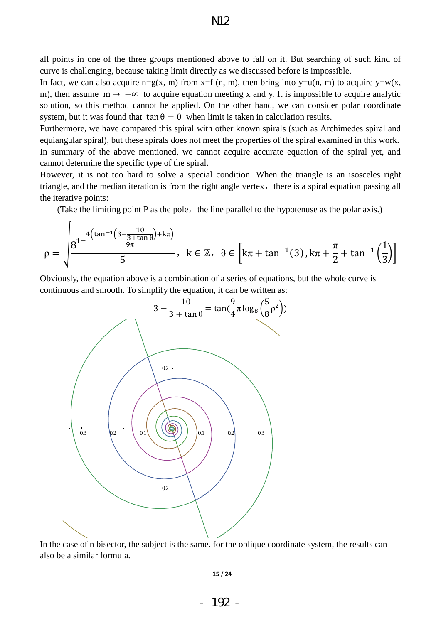all points in one of the three groups mentioned above to fall on it. But searching of such kind of curve is challenging, because taking limit directly as we discussed before is impossible.

In fact, we can also acquire  $n=g(x, m)$  from  $x=f(n, m)$ , then bring into  $y=u(n, m)$  to acquire  $y=w(x, m)$ m), then assume  $m \rightarrow +\infty$  to acquire equation meeting x and y. It is impossible to acquire analytic solution, so this method cannot be applied. On the other hand, we can consider polar coordinate system, but it was found that  $\tan \theta = 0$  when limit is taken in calculation results.

Furthermore, we have compared this spiral with other known spirals (such as Archimedes spiral and equiangular spiral), but these spirals does not meet the properties of the spiral examined in this work. In summary of the above mentioned, we cannot acquire accurate equation of the spiral yet, and cannot determine the specific type of the spiral.

However, it is not too hard to solve a special condition. When the triangle is an isosceles right triangle, and the median iteration is from the right angle vertex, there is a spiral equation passing all the iterative points:

(Take the limiting point  $P$  as the pole, the line parallel to the hypotenuse as the polar axis.)

$$
\rho = \sqrt{\frac{8^{1-\frac{4\left(\tan^{-1}\left(3-\frac{10}{3+\tan\theta}\right)+k\pi\right)}{9\pi}}{5}}, \ k \in \mathbb{Z}, \ \ \vartheta \in \left[k\pi + \tan^{-1}(3), k\pi + \frac{\pi}{2} + \tan^{-1}\left(\frac{1}{3}\right)\right]}
$$

Obviously, the equation above is a combination of a series of equations, but the whole curve is continuous and smooth. To simplify the equation, it can be written as:



In the case of n bisector, the subject is the same. for the oblique coordinate system, the results can also be a similar formula.

**15** / **24**

- 192 -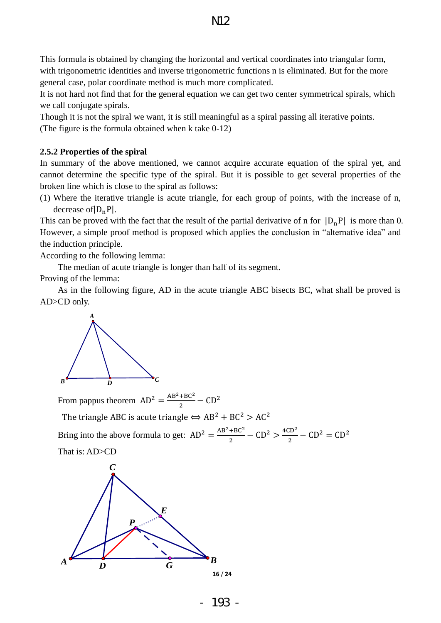This formula is obtained by changing the horizontal and vertical coordinates into triangular form, with trigonometric identities and inverse trigonometric functions n is eliminated. But for the more general case, polar coordinate method is much more complicated.

It is not hard not find that for the general equation we can get two center symmetrical spirals, which we call conjugate spirals.

Though it is not the spiral we want, it is still meaningful as a spiral passing all iterative points. (The figure is the formula obtained when k take 0-12)

#### **2.5.2 Properties of the spiral**

In summary of the above mentioned, we cannot acquire accurate equation of the spiral yet, and cannot determine the specific type of the spiral. But it is possible to get several properties of the broken line which is close to the spiral as follows:

(1) Where the iterative triangle is acute triangle, for each group of points, with the increase of n, decrease of  $|D_nP|$ .

This can be proved with the fact that the result of the partial derivative of n for  $|D_nP|$  is more than 0. However, a simple proof method is proposed which applies the conclusion in "alternative idea" and the induction principle.

According to the following lemma:

The median of acute triangle is longer than half of its segment.

Proving of the lemma:

As in the following figure, AD in the acute triangle ABC bisects BC, what shall be proved is AD>CD only.



From pappus theorem  $AD^2 = \frac{A}{A}$  $rac{100}{2}$  –

The triangle ABC is acute triangle  $\iff$  AB<sup>2</sup> + BC<sup>2</sup> > AC<sup>2</sup> Bring into the above formula to get:  $AD^2 = \frac{A}{A}$  $\frac{+BC^2}{2} - CD^2 > \frac{4}{3}$  $\frac{1}{2}$  –

That is: AD>CD



- 193 -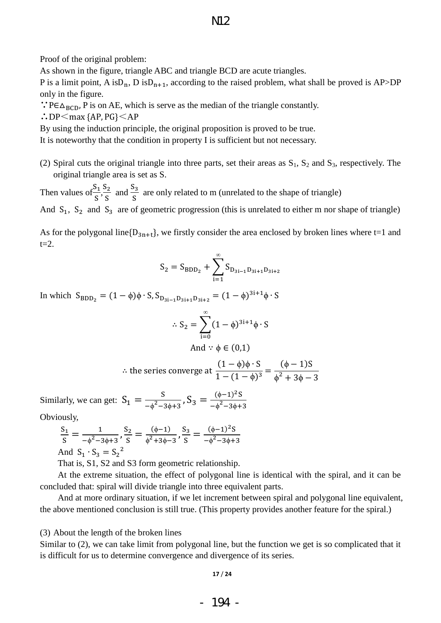## N12

Proof of the original problem:

As shown in the figure, triangle ABC and triangle BCD are acute triangles.

P is a limit point, A is  $D_n$ , D is  $D_{n+1}$ , according to the raised problem, what shall be proved is AP>DP only in the figure.

∵P∈ $\Delta_{\text{BCD}}$ , P is on AE, which is serve as the median of the triangle constantly.

 $\therefore$ DP $\leq$ max {AP, PG} $\leq$ AP

By using the induction principle, the original proposition is proved to be true.

It is noteworthy that the condition in property I is sufficient but not necessary.

(2) Spiral cuts the original triangle into three parts, set their areas as  $S_1$ ,  $S_2$  and  $S_3$ , respectively. The original triangle area is set as S.

Then values of  $\frac{S}{\sqrt{S}}$  $\frac{S_1}{S}$ ,  $\frac{S}{S}$  $\frac{S_2}{S}$  and  $\frac{S}{S}$  $\frac{a_3}{s}$  are only related to m (unrelated to the shape of triangle) And  $S_1$ ,  $S_2$  and  $S_3$  are of geometric progression (this is unrelated to either m nor shape of triangle)

As for the polygonal line  $\{D_{3n+t}\}$ , we firstly consider the area enclosed by broken lines where t=1 and  $t=2$ .

$$
S_2 = S_{BDD_2} + \sum_{i=1}^{\infty} S_{D_{3i-1}D_{3i+1}D_{3i+2}}
$$

In which  $S_{BDD_2} = (1 - \phi)\phi \cdot S$ ,  $S_{D_{2i-1}D_{2i+1}D_{2i+2}} = (1 - \phi)^3$ 

$$
\therefore S_2 = \sum_{i=0}^{\infty} (1 - \phi)^{3i+1} \phi \cdot S
$$
  
And  $\because \phi \in (0,1)$ 

$$
\therefore \text{ the series converge at } \frac{(1-\phi)\phi \cdot S}{1-(1-\phi)^3} = \frac{(\phi-1)S}{\phi^2 + 3\phi - 3}
$$

Similarly, we can get:  $S_1 = \frac{S}{r^2}$  $\frac{S}{-\phi^2 - 3\phi + 3}$ ,  $S_3 = \frac{(\phi - 1)^2}{-\phi^2 - 3\phi}$  $-\phi^2$ 

Obviously,

$$
\frac{S_1}{S} = \frac{1}{-\phi^2 - 3\phi + 3}, \frac{S_2}{S} = \frac{(\phi - 1)}{\phi^2 + 3\phi - 3}, \frac{S_3}{S} = \frac{(\phi - 1)^2 S}{-\phi^2 - 3\phi + 3}
$$
  
And  $S_1 \cdot S_3 = S_2^2$ 

That is, S1, S2 and S3 form geometric relationship.

At the extreme situation, the effect of polygonal line is identical with the spiral, and it can be concluded that: spiral will divide triangle into three equivalent parts.

And at more ordinary situation, if we let increment between spiral and polygonal line equivalent, the above mentioned conclusion is still true. (This property provides another feature for the spiral.)

(3) About the length of the broken lines

Similar to (2), we can take limit from polygonal line, but the function we get is so complicated that it is difficult for us to determine convergence and divergence of its series.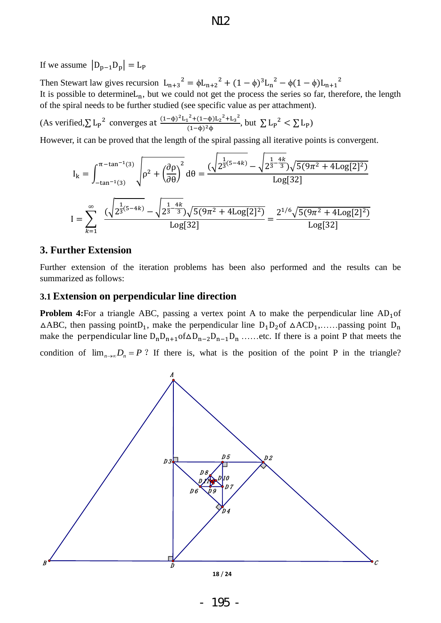If we assume  $|D_{p-1}D_p| = L_p$ 

Then Stewart law gives recursion  $L_{n+3}^{2} = \phi L_{n+2}^{2} + (1 - \phi)^{3} L_{n}^{2} - \phi (1 - \phi) L_{n+1}^{2}$ It is possible to determine  $L_n$ , but we could not get the process the series so far, therefore, the length of the spiral needs to be further studied (see specific value as per attachment).

(As verified,  $\sum L_p^2$  converges at  $\frac{(1-\phi)^2 L_1^2 + (1-\phi)L_2^2 + L_3^2}{(1-\phi)^2 L_1^2}$  $\frac{(1-(1-\phi)L_2^2+L_3^2)}{(1-\phi)^2\phi}$ , but  $\sum L_p^2 < \sum L_p$ )

However, it can be proved that the length of the spiral passing all iterative points is convergent.

$$
I_{k} = \int_{-\tan^{-1}(3)}^{\pi - \tan^{-1}(3)} \sqrt{\rho^{2} + \left(\frac{\partial \rho}{\partial \theta}\right)^{2}} d\theta = \frac{(\sqrt{2^{\frac{1}{3}(5-4k)} - \sqrt{2^{\frac{1}{3}-\frac{4k}{3}}}})\sqrt{5(9\pi^{2} + 4\text{Log}[2]^{2})}}{\text{Log}[32]}
$$

$$
I = \sum_{k=1}^{\infty} \frac{(\sqrt{2^{\frac{1}{3}(5-4k)} - \sqrt{2^{\frac{1-4k}{3}}}})\sqrt{5(9\pi^{2} + 4\text{Log}[2]^{2})}}{\text{Log}[32]} = \frac{2^{1/6}\sqrt{5(9\pi^{2} + 4\text{Log}[2]^{2})}}{\text{Log}[32]}
$$

## **3. Further Extension**

Further extension of the iteration problems has been also performed and the results can be summarized as follows:

## **3.1 Extension on perpendicular line direction**

**Problem 4:**For a triangle ABC, passing a vertex point A to make the perpendicular line  $AD_1$  of  $\triangle ABC$ , then passing point  $D_1$ , make the perpendicular line  $D_1D_2$  of  $\triangle ACD_1$ ,...... passing point  $D_n$ make the perpendicular line  $D_nD_{n+1}$  of  $\Delta D_{n-2}D_{n-1}D_n$  ...... etc. If there is a point P that meets the condition of  $\lim_{n\to\infty}D_n = P$ ? If there is, what is the position of the point P in the triangle?

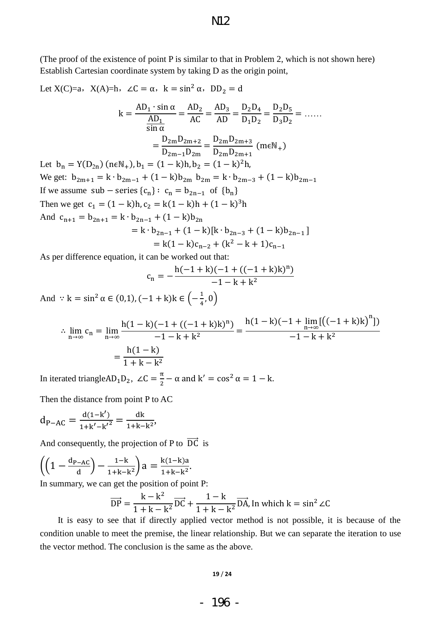(The proof of the existence of point P is similar to that in Problem 2, which is not shown here) Establish Cartesian coordinate system by taking D as the origin point,

Let X(C)=a, X(A)=h,  $\angle C = \alpha$ ,  $k = \sin^2 \alpha$ ,  $DD_2 = d$ k A Ā  $\overline{s}$  $=$ A A A A  $\mathbf{D}$  $\mathbf{D}$  $=$  $\mathbf{D}$  $\frac{Z_2 Z_3}{D_3 D_2} = \dots$  $=$ D D  $=$ D  $\mathbf{D}$  $\overline{(}$ Let  $b_n = Y(D_{2n})$  (neN<sub>+</sub>),  $b_1 = (1 - k)h$ ,  $b_2 = (1 - k)^2$ We get:  $b_{2m+1} = k \cdot b_{2m-1} + (1 - k)b_{2m} b_{2m} = k \cdot b_{2m-3} + (1 - k)b_{2m-1}$ If we assume  $sub$  – series  ${c_n}$ :  $c_n = b_{2n-1}$  of  ${b_n}$ Then we get  $c_1 = (1 - k)h$ ,  $c_2 = k(1 - k)h + (1 - k)^3$ And  $c_{n+1} = b_{2n+1} = k \cdot b_{2n-1} + (1 - k)b_{2n}$  $= k \cdot b_{2n-1} + (1 - k)[k \cdot b_{2n-3} + (1 - k)b_{2n-1}]$  $= k(1 - k)c_{n-2} + (k^2)$ 

As per difference equation, it can be worked out that:

$$
c_n = -\frac{h(-1+k)(-1+((-1+k)k)^n)}{-1-k+k^2}
$$

And  $\therefore$  k = sin<sup>2</sup>  $\alpha \in (0,1), (-1+k)k \in \left(-\frac{1}{4}, \frac{1}{2}\right)$ 

$$
\therefore \lim_{n \to \infty} c_n = \lim_{n \to \infty} \frac{h(1 - k)(-1 + ((-1 + k)k)^n)}{-1 - k + k^2} = \frac{h(1 - k)(-1 + \lim_{n \to \infty} [((-1 + k)k)^n])}{-1 - k + k^2}
$$

$$
= \frac{h(1 - k)}{1 + k - k^2}
$$

In iterated triangle  $AD_1D_2$ ,  $\angle C = \frac{\pi}{3}$  $\frac{11}{2}$  –

Then the distance from point P to AC

$$
d_{P-AC} = \frac{d(1-k')}{1+k'-{k'}^2} = \frac{dk}{1+k-k^2},
$$

And consequently, the projection of P to  $\overrightarrow{DC}$  is

$$
\left(\left(1 - \frac{d_{P-AC}}{d}\right) - \frac{1-k}{1+k-k^2}\right)a = \frac{k(1-k)a}{1+k-k^2}.
$$

In summary, we can get the position of point P:

$$
\overrightarrow{DP} = \frac{k - k^2}{1 + k - k^2} \overrightarrow{DC} + \frac{1 - k}{1 + k - k^2} \overrightarrow{DA}
$$
, In which  $k = \sin^2 \angle C$ 

It is easy to see that if directly applied vector method is not possible, it is because of the condition unable to meet the premise, the linear relationship. But we can separate the iteration to use the vector method. The conclusion is the same as the above.

#### **19** / **24**

## - 196 -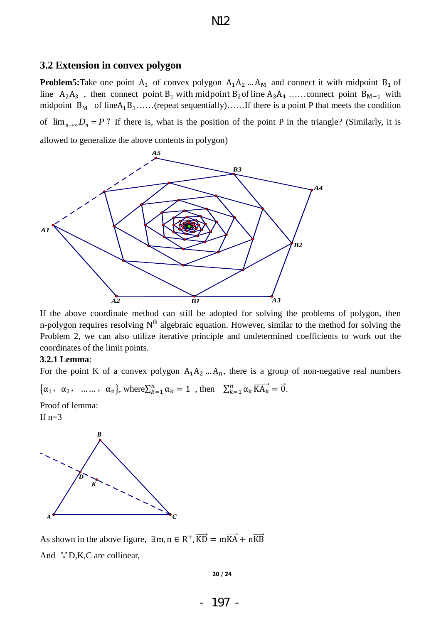#### **3.2 Extension in convex polygon**

**Problem5:**Take one point  $A_1$  of convex polygon  $A_1A_2$  ...  $A_M$  and connect it with midpoint  $B_1$  of line  $A_2A_3$ , then connect point B<sub>1</sub> with midpoint B<sub>2</sub> of line  $A_3A_4$ ......connect point B<sub>M-1</sub> with midpoint  $B_M$  of line  $A_1B_1$ ......(repeat sequentially)...... If there is a point P that meets the condition of  $\lim_{n\to\infty}D_n = P$ ? If there is, what is the position of the point P in the triangle? (Similarly, it is allowed to generalize the above contents in polygon)



If the above coordinate method can still be adopted for solving the problems of polygon, then n-polygon requires resolving  $N<sup>th</sup>$  algebraic equation. However, similar to the method for solving the Problem 2, we can also utilize iterative principle and undetermined coefficients to work out the coordinates of the limit points.

#### **3.2.1 Lemma**:

For the point K of a convex polygon  $A_1A_2$ ...  $A_n$ , there is a group of non-negative real numbers

$$
\{\alpha_1, \alpha_2, \dots, \alpha_n\}
$$
, where  $\sum_{k=1}^n \alpha_k = 1$ , then  $\sum_{k=1}^n \alpha_k \overrightarrow{KA_k} = \overrightarrow{0}$ .

Proof of lemma:

If  $n=3$ 



As shown in the above figure,  $\exists m, n \in \mathbb{R}^+$ ,  $\overline{B}$ And ∵D,K,C are collinear,

**20** / **24**

- 197 -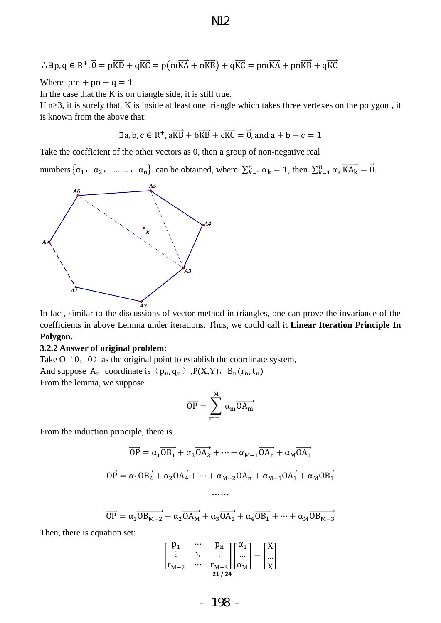$$
\mathrm{M}2
$$

$$
\therefore \exists p, q \in R^+, \vec{0} = p\overrightarrow{KD} + q\overrightarrow{KC} = p(m\overrightarrow{KA} + n\overrightarrow{KB}) + q\overrightarrow{KC} = pm\overrightarrow{KA} + pn\overrightarrow{KB} + q\overrightarrow{KC}
$$

Where  $pm + pn + q = 1$ 

In the case that the K is on triangle side, it is still true.

If  $n>3$ , it is surely that, K is inside at least one triangle which takes three vertexes on the polygon, it is known from the above that:

$$
\exists a, b, c \in \mathbb{R}^+, a\overrightarrow{KB} + b\overrightarrow{KB} + c\overrightarrow{KG} = \overrightarrow{0}, and a + b + c = 1
$$

Take the coefficient of the other vectors as 0, then a group of non-negative real

numbers  $\{\alpha_1, \alpha_2, \dots, \alpha_n\}$  can be obtained, where  $\sum_{k=1}^n \alpha_k = 1$ , then  $\sum_{k=1}^n \alpha_k \overrightarrow{KA_k} = \overrightarrow{0}$ .



In fact, similar to the discussions of vector method in triangles, one can prove the invariance of the coefficients in above Lemma under iterations. Thus, we could call it **Linear Iteration Principle In Polygon.**

#### **3.2.2 Answer of original problem:**

Take  $O(0, 0)$  as the original point to establish the coordinate system, And suppose  $A_n$  coordinate is  $(p_n, q_n)$ ,  $P(X, Y)$ ,  $B_n(r_n, t_n)$ From the lemma, we suppose

$$
\overrightarrow{OP} = \sum_{m=1}^{M} \alpha_m \overrightarrow{OA_m}
$$

From the induction principle, there is

$$
\overrightarrow{OP} = \alpha_1 \overrightarrow{OB_1} + \alpha_2 \overrightarrow{OA_3} + \dots + \alpha_{M-1} \overrightarrow{OA_n} + \alpha_M \overrightarrow{OA_1}
$$

$$
\overrightarrow{OP} = \alpha_1 \overrightarrow{OB_2} + \alpha_2 \overrightarrow{OA_4} + \dots + \alpha_{M-2} \overrightarrow{OA_n} + \alpha_{M-1} \overrightarrow{OA_1} + \alpha_M \overrightarrow{OB_1}
$$

$$
\dots
$$

$$
\overrightarrow{OP} = \alpha_1 \overrightarrow{OB_{M-2}} + \alpha_2 \overrightarrow{OA_M} + \alpha_3 \overrightarrow{OA_1} + \alpha_4 \overrightarrow{OB_1} + \dots + \alpha_M \overrightarrow{OB_{M-3}}
$$

Then, there is equation set:

$$
\begin{bmatrix} p_1 & \cdots & p_n \\ \vdots & \ddots & \vdots \\ r_{M-2} & \cdots & r_{M-3} \end{bmatrix} \begin{bmatrix} \alpha_1 \\ \dots \\ \alpha_M \end{bmatrix} = \begin{bmatrix} X \\ \dots \\ X \end{bmatrix}
$$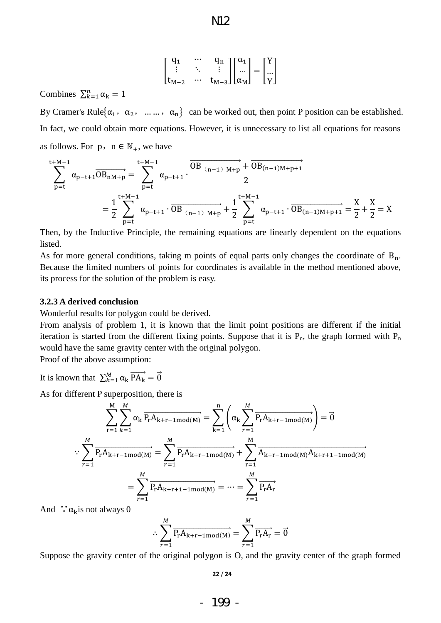$$
\rm N\!12
$$

$$
\begin{bmatrix} q_1 & \cdots & q_n \\ \vdots & \ddots & \vdots \\ t_{M-2} & \cdots & t_{M-3} \end{bmatrix} \begin{bmatrix} \alpha_1 \\ \dots \\ \alpha_M \end{bmatrix} = \begin{bmatrix} Y \\ \dots \\ Y \end{bmatrix}
$$

Combines  $\sum_{k=1}^{n}$ 

By Cramer's Rule $\{\alpha_1, \alpha_2, \dots, \alpha_n\}$  can be worked out, then point P position can be established. In fact, we could obtain more equations. However, it is unnecessary to list all equations for reasons as follows. For  $p, n \in \mathbb{N}_+$ , we have

$$
\sum_{p=t}^{t+M-1} \alpha_{p-t+1} \overrightarrow{OB_{nM+p}} = \sum_{p=t}^{t+M-1} \alpha_{p-t+1} \cdot \overrightarrow{\dfrac{OB_{(n-1)M+p}}{2}}} \nonumber \\ = \frac{1}{2} \sum_{p=t}^{t+M-1} \alpha_{p-t+1} \cdot \overrightarrow{OB_{(n-1)M+p}} + \frac{1}{2} \sum_{p=t}^{t+M-1} \alpha_{p-t+1} \cdot \overrightarrow{OB_{(n-1)M+p+1}} = \frac{X}{2} + \frac{X}{2} = X
$$

Then, by the Inductive Principle, the remaining equations are linearly dependent on the equations listed.

As for more general conditions, taking m points of equal parts only changes the coordinate of  $B_n$ . Because the limited numbers of points for coordinates is available in the method mentioned above, its process for the solution of the problem is easy.

#### **3.2.3 A derived conclusion**

Wonderful results for polygon could be derived.

From analysis of problem 1, it is known that the limit point positions are different if the initial iteration is started from the different fixing points. Suppose that it is  $P_n$ , the graph formed with  $P_n$ would have the same gravity center with the original polygon.

Proof of the above assumption:

It is known that  $\sum_{k=1}^{M} \alpha_k \bar{I}$ 

As for different P superposition, there is

$$
\sum_{r=1}^{M} \sum_{k=1}^{M} \alpha_{k} \overline{P_{r} A_{k+r-1mod(M)}} = \sum_{k=1}^{n} \left( \alpha_{k} \sum_{r=1}^{M} \overline{P_{r} A_{k+r-1mod(M)}} \right) = \vec{0}
$$
  

$$
\therefore \sum_{r=1}^{M} \overline{P_{r} A_{k+r-1mod(M)}} = \sum_{r=1}^{M} \overline{P_{r} A_{k+r-1mod(M)}} + \sum_{r=1}^{M} \overline{A_{k+r-1mod(M)} A_{k+r+1-1mod(M)}}
$$
  

$$
= \sum_{r=1}^{M} \overline{P_{r} A_{k+r+1-1mod(M)}} = \dots = \sum_{r=1}^{M} \overline{P_{r} A_{r}}
$$

And  $\therefore \alpha_k$  is not always 0

$$
\therefore \sum_{r=1}^{M} \overrightarrow{P_{r}A_{k+r-1 \text{mod}(M)}} = \sum_{r=1}^{M} \overrightarrow{P_{r}A_{r}} = \overrightarrow{0}
$$

Suppose the gravity center of the original polygon is O, and the gravity center of the graph formed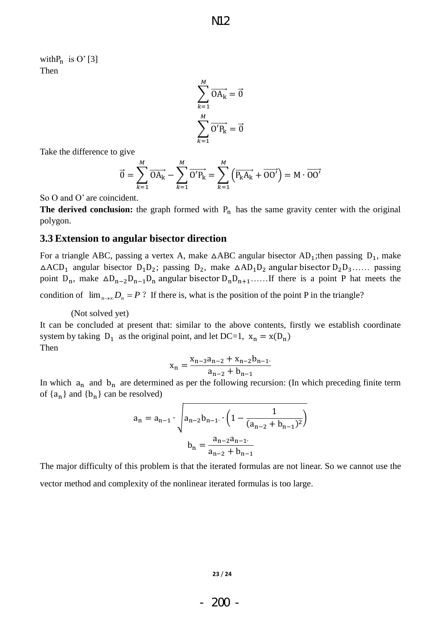with  $P_n$  is O' [3] Then

$$
\sum_{k=1}^{M} \overrightarrow{OA_k} = \overrightarrow{0}
$$

$$
\sum_{k=1}^{M} \overrightarrow{O'P_k} = \overrightarrow{0}
$$

Take the difference to give

$$
\vec{0} = \sum_{k=1}^{M} \overrightarrow{OA_k} - \sum_{k=1}^{M} \overrightarrow{O'P_k} = \sum_{k=1}^{M} (\overrightarrow{P_k A_k} + \overrightarrow{OO'}) = M \cdot \overrightarrow{OO'}
$$

So O and O' are coincident.

**The derived conclusion:** the graph formed with  $P_n$  has the same gravity center with the original polygon.

## **3.3 Extension to angular bisector direction**

For a triangle ABC, passing a vertex A, make  $\triangle$ ABC angular bisector AD<sub>1</sub>; then passing D<sub>1</sub>, make  $\triangle ACD_1$  angular bisector  $D_1D_2$ ; passing  $D_2$ , make  $\triangle AD_1D_2$  angular bisector  $D_2D_3$ ...... passing point  $D_n$ , make  $\Delta D_{n-2}D_{n-1}D_n$  angular bisector  $D_nD_{n+1}$ ...... If there is a point P hat meets the condition of  $\lim_{n\to\infty} D_n = P$ ? If there is, what is the position of the point P in the triangle?

(Not solved yet)

It can be concluded at present that: similar to the above contents, firstly we establish coordinate system by taking  $D_1$  as the original point, and let DC=1,  $x_n = x(D_n)$ Then

$$
x_n = \frac{x_{n-3}a_{n-2} + x_{n-2}b_{n-1}}{a_{n-2} + b_{n-1}}
$$

In which  $a_n$  and  $b_n$  are determined as per the following recursion: (In which preceding finite term of  $\{a_n\}$  and  $\{b_n\}$  can be resolved)

$$
a_n = a_{n-1} \cdot \sqrt{a_{n-2}b_{n-1} \cdot \left(1 - \frac{1}{(a_{n-2} + b_{n-1})^2}\right)}
$$

$$
b_n = \frac{a_{n-2}a_{n-1}}{a_{n-2} + b_{n-1}}
$$

The major difficulty of this problem is that the iterated formulas are not linear. So we cannot use the vector method and complexity of the nonlinear iterated formulas is too large.